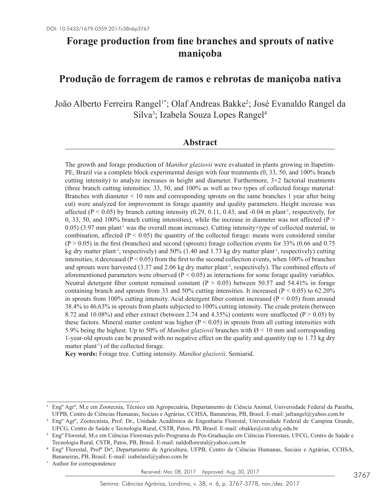# **Forage production from fine branches and sprouts of native maniçoba**

# **Produção de forragem de ramos e rebrotas de maniçoba nativa**

João Alberto Ferreira Rangel<sup>1\*</sup>; Olaf Andreas Bakke<sup>2</sup>; José Evanaldo Rangel da Silva<sup>3</sup>; Izabela Souza Lopes Rangel<sup>4</sup>

### **Abstract**

The growth and forage production of *Manihot glaziovii* were evaluated in plants growing in Itapetim-PE, Brazil via a complete block experimental design with four treatments (0, 33, 50, and 100% branch cutting intensity) to analyze increases in height and diameter. Furthermore,  $3\times2$  factorial treatments (three branch cutting intensities: 33, 50, and 100% as well as two types of collected forage material: Branches with diameter < 10 mm and corresponding sprouts on the same branches 1 year after being cut) were analyzed for improvement in forage quantity and quality parameters. Height increase was affected ( $P < 0.05$ ) by branch cutting intensity (0.29, 0.11, 0.43, and -0.04 m plant<sup>-1</sup>, respectively, for 0, 33, 50, and 100% branch cutting intensities), while the increase in diameter was not affected ( $P >$ 0.05) (3.97 mm plant<sup>-1</sup> was the overall mean increase). Cutting intensity×type of collected material, in combination, affected ( $P < 0.05$ ) the quantity of the collected forage: means were considered similar  $(P > 0.05)$  in the first (branches) and second (sprouts) forage collection events for 33% (0.66 and 0.75 kg dry matter plant<sup>-1</sup>, respectively) and 50% (1.40 and 1.73 kg dry matter plant<sup>-1</sup>, respectively) cutting intensities; it decreased ( $P < 0.05$ ) from the first to the second collection events, when 100% of branches and sprouts were harvested (3.37 and 2.06 kg dry matter plant<sup>-1</sup>, respectively). The combined effects of aforementioned parameters were observed ( $P < 0.05$ ) as interactions for some forage quality variables. Neutral detergent fiber content remained constant  $(P > 0.05)$  between 50.57 and 54.41% in forage containing branch and sprouts from 33 and 50% cutting intensities. It increased ( $P < 0.05$ ) to 62.20% in sprouts from 100% cutting intensity. Acid detergent fiber content increased ( $P < 0.05$ ) from around 38.4% to 46.63% in sprouts from plants subjected to 100% cutting intensity. The crude protein (between 8.72 and 10.08%) and ether extract (between 2.74 and 4.35%) contents were unaffected ( $P > 0.05$ ) by these factors. Mineral matter content was higher ( $P < 0.05$ ) in sprouts from all cutting intensities with 5.9% being the highest. Up to 50% of *Manihot glaziovii* branches with  $\varnothing$  < 10 mm and corresponding 1-year-old sprouts can be pruned with no negative effect on the quality and quantity (up to 1.73 kg dry matter plant<sup>-1</sup>) of the collected forage.

**Key words:** Forage tree. Cutting intensity. *Manihot glaziovii*. Semiarid.

Author for correspondence

<sup>1</sup> Engº Agrº, M.e em Zootecnia, Técnico em Agropecuária, Departamento de Ciência Animal, Universidade Federal da Paraíba, UFPB, Centro de Ciências Humanas, Sociais e Agrárias, CCHSA, Bananeiras, PB, Brasil. E-mail: jafrangel@yahoo.com.br

<sup>2</sup> Engº Agrº, Zootecnista, Prof. Dr., Unidade Acadêmica de Engenharia Florestal, Universidade Federal de Campina Grande, UFCG, Centro de Saúde e Tecnologia Rural, CSTR, Patos, PB, Brasil. E-mail: obakke@cstr.ufcg.edu.br

<sup>3</sup> Engº Florestal, M.e em Ciências Florestais pelo Programa de Pós-Graduação em Ciências Florestais, UFCG, Centro de Saúde e Tecnologia Rural, CSTR, Patos, PB, Brasil. E-mail: naldoflorestal@yahoo.com.br

<sup>4</sup> Engº Florestal, Profª Drª, Departamento de Agricultura, UFPB, Centro de Ciências Humanas, Sociais e Agrárias, CCHSA, Bananeiras, PB, Brasil. E-mail: izabelaisl@yahoo.com.br

Received: Mar. 08, 2017 Approved: Aug. 30, 2017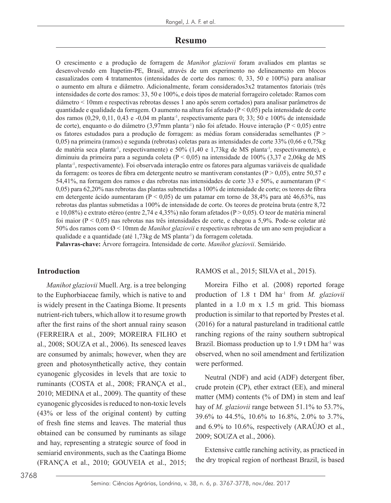#### **Resumo**

O crescimento e a produção de forragem de *Manihot glaziovii* foram avaliados em plantas se desenvolvendo em Itapetim-PE, Brasil, através de um experimento no delineamento em blocos casualizados com 4 tratamentos (intensidades de corte dos ramos: 0, 33, 50 e 100%) para analisar o aumento em altura e diâmetro. Adicionalmente, foram considerados3x2 tratamentos fatoriais (três intensidades de corte dos ramos: 33, 50 e 100%, e dois tipos de material forrageiro coletado: Ramos com diâmetro < 10mm e respectivas rebrotas desses 1 ano após serem cortados) para analisar parâmetros de quantidade e qualidade da forragem. O aumento na altura foi afetado ( $P < 0.05$ ) pela intensidade de corte dos ramos (0,29, 0,11, 0,43 e -0,04 m planta<sup>-1</sup>, respectivamente para 0; 33; 50 e 100% de intensidade de corte), enquanto o do diâmetro (3,97mm planta-1) não foi afetado. Houve interação (P < 0,05) entre os fatores estudados para a produção de forragem: as médias foram consideradas semelhantes ( $P >$ 0,05) na primeira (ramos) e segunda (rebrotas) coletas para as intensidades de corte 33% (0,66 e 0,75kg de matéria seca planta<sup>-1</sup>, respectivamente) e 50% (1,40 e 1,73kg de MS planta<sup>-1</sup>, respectivamente), e diminuiu da primeira para a segunda coleta ( $P < 0.05$ ) na intensidade de 100% (3.37 e 2.06kg de MS planta-1, respectivamente). Foi observada interação entre os fatores para algumas variáveis de qualidade da forragem: os teores de fibra em detergente neutro se mantiveram constantes ( $P > 0.05$ ), entre 50,57 e 54,41%, na forragem dos ramos e das rebrotas nas intensidades de corte 33 e 50%, e aumentaram ( $P \leq$ 0,05) para 62,20% nas rebrotas das plantas submetidas a 100% de intensidade de corte; os teores de fibra em detergente ácido aumentaram ( $P < 0.05$ ) de um patamar em torno de 38.4% para até 46.63%, nas rebrotas das plantas submetidas a 100% de intensidade de corte. Os teores de proteína bruta (entre 8,72 e 10,08%) e extrato etéreo (entre 2,74 e 4,35%) não foram afetados ( $P > 0.05$ ). O teor de matéria mineral foi maior (P < 0,05) nas rebrotas nas três intensidades de corte, e chegou a 5,9%. Pode-se coletar até 50% dos ramos com Ø < 10mm de *Manihot glaziovii* e respectivas rebrotas de um ano sem prejudicar a qualidade e a quantidade (até 1,73kg de MS planta-1) da forragem coletada.

**Palavras-chave:** Árvore forrageira. Intensidade de corte. *Manihot glaziovii*. Semiárido.

#### **Introduction**

*Manihot glaziovii* Muell. Arg. is a tree belonging to the Euphorbiaceae family, which is native to and is widely present in the Caatinga Biome. It presents nutrient-rich tubers, which allow it to resume growth after the first rains of the short annual rainy season (FERREIRA et al., 2009; MOREIRA FILHO et al., 2008; SOUZA et al., 2006). Its senesced leaves are consumed by animals; however, when they are green and photosynthetically active, they contain cyanogenic glycosides in levels that are toxic to ruminants (COSTA et al., 2008; FRANÇA et al., 2010; MEDINA et al., 2009). The quantity of these cyanogenic glycosides is reduced to non-toxic levels (43% or less of the original content) by cutting of fresh fine stems and leaves. The material thus obtained can be consumed by ruminants as silage and hay, representing a strategic source of food in semiarid environments, such as the Caatinga Biome (FRANÇA et al., 2010; GOUVEIA et al., 2015; RAMOS et al., 2015; SILVA et al., 2015).

Moreira Filho et al. (2008) reported forage production of 1.8 t DM ha-1 from *M. glaziovii* planted in a 1.0 m x 1.5 m grid. This biomass production is similar to that reported by Prestes et al. (2016) for a natural pastureland in traditional cattle ranching regions of the rainy southern subtropical Brazil. Biomass production up to  $1.9$  t DM ha<sup>-1</sup> was observed, when no soil amendment and fertilization were performed.

Neutral (NDF) and acid (ADF) detergent fiber, crude protein (CP), ether extract (EE), and mineral matter (MM) contents (% of DM) in stem and leaf hay of *M. glaziovii* range between 51.1% to 53.7%, 39.6% to 44.5%, 10.6% to 16.8%, 2.0% to 3.7%, and 6.9% to 10.6%, respectively (ARAÚJO et al., 2009; SOUZA et al., 2006).

Extensive cattle ranching activity, as practiced in the dry tropical region of northeast Brazil, is based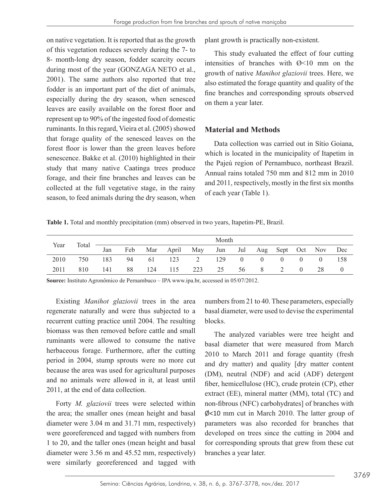on native vegetation. It is reported that as the growth of this vegetation reduces severely during the 7- to 8- month-long dry season, fodder scarcity occurs during most of the year (GONZAGA NETO et al., 2001). The same authors also reported that tree fodder is an important part of the diet of animals, especially during the dry season, when senesced leaves are easily available on the forest floor and represent up to 90% of the ingested food of domestic ruminants. In this regard, Vieira et al. (2005) showed that forage quality of the senesced leaves on the forest floor is lower than the green leaves before senescence. Bakke et al. (2010) highlighted in their study that many native Caatinga trees produce forage, and their fine branches and leaves can be collected at the full vegetative stage, in the rainy season, to feed animals during the dry season, when

plant growth is practically non-existent.

This study evaluated the effect of four cutting intensities of branches with  $\varnothing$  <10 mm on the growth of native *Manihot glaziovii* trees. Here, we also estimated the forage quantity and quality of the fine branches and corresponding sprouts observed on them a year later.

## **Material and Methods**

Data collection was carried out in Sítio Goiana, which is located in the municipality of Itapetim in the Pajeú region of Pernambuco, northeast Brazil. Annual rains totaled 750 mm and 812 mm in 2010 and 2011, respectively, mostly in the first six months of each year (Table 1).

**Table 1.** Total and monthly precipitation (mm) observed in two years, Itapetim-PE, Brazil.

| Year | Total | Month |     |     |            |     |     |                |                  |          |          |    |     |
|------|-------|-------|-----|-----|------------|-----|-----|----------------|------------------|----------|----------|----|-----|
|      |       | Jan   | Feb | Mar | April      | May | Jun | Jul            | Aug Sept Oct Nov |          |          |    | Dec |
| 2010 | 750   | 183   | 94  | -61 | $123 \t 2$ |     | 129 | $\overline{0}$ | $\theta$         | $\theta$ | $\theta$ |    | 158 |
| 2011 | 810   | 141   | 88  | 124 | 115        | 223 | 25  | 56             | 8                |          |          | 28 |     |

**Source:** Instituto Agronômico de Pernambuco – IPA www.ipa.br, accessed in 05/07/2012.

Existing *Manihot glaziovii* trees in the area regenerate naturally and were thus subjected to a recurrent cutting practice until 2004. The resulting biomass was then removed before cattle and small ruminants were allowed to consume the native herbaceous forage. Furthermore, after the cutting period in 2004, stump sprouts were no more cut because the area was used for agricultural purposes and no animals were allowed in it, at least until 2011, at the end of data collection.

Forty *M. glaziovii* trees were selected within the area; the smaller ones (mean height and basal diameter were 3.04 m and 31.71 mm, respectively) were georeferenced and tagged with numbers from 1 to 20, and the taller ones (mean height and basal diameter were 3.56 m and 45.52 mm, respectively) were similarly georeferenced and tagged with

numbers from 21 to 40. These parameters, especially basal diameter, were used to devise the experimental blocks.

The analyzed variables were tree height and basal diameter that were measured from March 2010 to March 2011 and forage quantity (fresh and dry matter) and quality [dry matter content (DM), neutral (NDF) and acid (ADF) detergent fiber, hemicellulose (HC), crude protein (CP), ether extract (EE), mineral matter (MM), total (TC) and non-fibrous (NFC) carbohydrates] of branches with Ø<10 mm cut in March 2010. The latter group of parameters was also recorded for branches that developed on trees since the cutting in 2004 and for corresponding sprouts that grew from these cut branches a year later.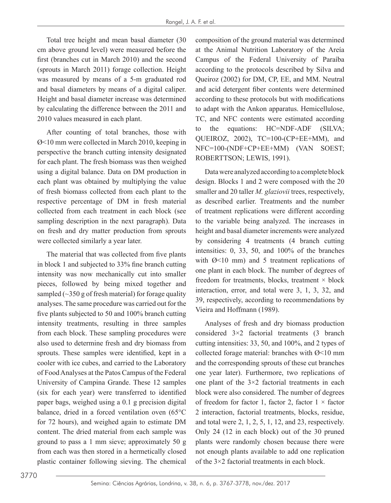Total tree height and mean basal diameter (30 cm above ground level) were measured before the first (branches cut in March 2010) and the second (sprouts in March 2011) forage collection. Height was measured by means of a 5-m graduated rod and basal diameters by means of a digital caliper. Height and basal diameter increase was determined by calculating the difference between the 2011 and 2010 values measured in each plant.

After counting of total branches, those with Ø<10 mm were collected in March 2010, keeping in perspective the branch cutting intensity designated for each plant. The fresh biomass was then weighed using a digital balance. Data on DM production in each plant was obtained by multiplying the value of fresh biomass collected from each plant to the respective percentage of DM in fresh material collected from each treatment in each block (see sampling description in the next paragraph). Data on fresh and dry matter production from sprouts were collected similarly a year later.

The material that was collected from five plants in block 1 and subjected to 33% fine branch cutting intensity was now mechanically cut into smaller pieces, followed by being mixed together and sampled  $(\sim]350$  g of fresh material) for forage quality analyses. The same procedure was carried out for the five plants subjected to 50 and 100% branch cutting intensity treatments, resulting in three samples from each block. These sampling procedures were also used to determine fresh and dry biomass from sprouts. These samples were identified, kept in a cooler with ice cubes, and carried to the Laboratory of Food Analyses at the Patos Campus of the Federal University of Campina Grande. These 12 samples (six for each year) were transferred to identified paper bags, weighed using a 0.1 g precision digital balance, dried in a forced ventilation oven (65°C for 72 hours), and weighed again to estimate DM content. The dried material from each sample was ground to pass a 1 mm sieve; approximately 50 g from each was then stored in a hermetically closed plastic container following sieving. The chemical

composition of the ground material was determined at the Animal Nutrition Laboratory of the Areía Campus of the Federal University of Paraíba according to the protocols described by Silva and Queiroz (2002) for DM, CP, EE, and MM. Neutral and acid detergent fiber contents were determined according to these protocols but with modifications to adapt with the Ankon apparatus. Hemicellulose, TC, and NFC contents were estimated according to the equations: HC=NDF-ADF (SILVA; QUEIROZ, 2002), TC=100-(CP+EE+MM), and NFC=100-(NDF+CP+EE+MM) (VAN SOEST; ROBERTTSON; LEWIS, 1991).

Data were analyzed according to a complete block design. Blocks 1 and 2 were composed with the 20 smaller and 20 taller *M. glaziovii* trees, respectively, as described earlier. Treatments and the number of treatment replications were different according to the variable being analyzed. The increases in height and basal diameter increments were analyzed by considering 4 treatments (4 branch cutting intensities: 0, 33, 50, and 100% of the branches with  $\varnothing$ <10 mm) and 5 treatment replications of one plant in each block. The number of degrees of freedom for treatments, blocks, treatment  $\times$  block interaction, error, and total were 3, 1, 3, 32, and 39, respectively, according to recommendations by Vieira and Hoffmann (1989).

Analyses of fresh and dry biomass production considered 3×2 factorial treatments (3 branch cutting intensities: 33, 50, and 100%, and 2 types of collected forage material: branches with Ø<10 mm and the corresponding sprouts of these cut branches one year later). Furthermore, two replications of one plant of the 3×2 factorial treatments in each block were also considered. The number of degrees of freedom for factor 1, factor 2, factor  $1 \times$  factor 2 interaction, factorial treatments, blocks, residue, and total were 2, 1, 2, 5, 1, 12, and 23, respectively. Only 24 (12 in each block) out of the 30 pruned plants were randomly chosen because there were not enough plants available to add one replication of the 3×2 factorial treatments in each block.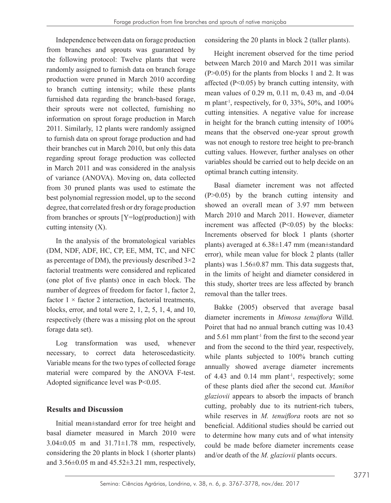Independence between data on forage production from branches and sprouts was guaranteed by the following protocol: Twelve plants that were randomly assigned to furnish data on branch forage production were pruned in March 2010 according to branch cutting intensity; while these plants furnished data regarding the branch-based forage, their sprouts were not collected, furnishing no information on sprout forage production in March 2011. Similarly, 12 plants were randomly assigned to furnish data on sprout forage production and had their branches cut in March 2010, but only this data regarding sprout forage production was collected in March 2011 and was considered in the analysis of variance (ANOVA). Moving on, data collected from 30 pruned plants was used to estimate the best polynomial regression model, up to the second degree, that correlated fresh or dry forage production from branches or sprouts [Y=log(production)] with cutting intensity  $(X)$ .

In the analysis of the bromatological variables (DM, NDF, ADF, HC, CP, EE, MM, TC, and NFC as percentage of DM), the previously described  $3\times 2$ factorial treatments were considered and replicated (one plot of five plants) once in each block. The number of degrees of freedom for factor 1, factor 2, factor  $1 \times$  factor 2 interaction, factorial treatments, blocks, error, and total were 2, 1, 2, 5, 1, 4, and 10, respectively (there was a missing plot on the sprout forage data set).

Log transformation was used, whenever necessary, to correct data heteroscedasticity. Variable means for the two types of collected forage material were compared by the ANOVA F-test. Adopted significance level was P<0.05.

#### **Results and Discussion**

Initial mean±standard error for tree height and basal diameter measured in March 2010 were 3.04±0.05 m and 31.71±1.78 mm, respectively, considering the 20 plants in block 1 (shorter plants) and  $3.56\pm0.05$  m and  $45.52\pm3.21$  mm, respectively, considering the 20 plants in block 2 (taller plants).

Height increment observed for the time period between March 2010 and March 2011 was similar  $(P>0.05)$  for the plants from blocks 1 and 2. It was affected  $(P<0.05)$  by branch cutting intensity, with mean values of 0.29 m, 0.11 m, 0.43 m, and -0.04 m plant<sup>-1</sup>, respectively, for 0, 33%, 50%, and  $100\%$ cutting intensities. A negative value for increase in height for the branch cutting intensity of 100% means that the observed one-year sprout growth was not enough to restore tree height to pre-branch cutting values. However, further analyses on other variables should be carried out to help decide on an optimal branch cutting intensity.

Basal diameter increment was not affected (P>0.05) by the branch cutting intensity and showed an overall mean of 3.97 mm between March 2010 and March 2011. However, diameter increment was affected (P<0.05) by the blocks: Increments observed for block 1 plants (shorter plants) averaged at 6.38±1.47 mm (mean±standard error), while mean value for block 2 plants (taller plants) was  $1.56\pm0.87$  mm. This data suggests that, in the limits of height and diameter considered in this study, shorter trees are less affected by branch removal than the taller trees.

Bakke (2005) observed that average basal diameter increments in *Mimosa tenuiflora* Willd. Poiret that had no annual branch cutting was 10.43 and  $5.61$  mm plant<sup>-1</sup> from the first to the second year and from the second to the third year, respectively, while plants subjected to 100% branch cutting annually showed average diameter increments of  $4.43$  and  $0.14$  mm plant<sup>-1</sup>, respectively; some of these plants died after the second cut. *Manihot glaziovii* appears to absorb the impacts of branch cutting, probably due to its nutrient-rich tubers, while reserves in *M. tenuiflora* roots are not so beneficial. Additional studies should be carried out to determine how many cuts and of what intensity could be made before diameter increments cease and/or death of the *M. glaziovii* plants occurs.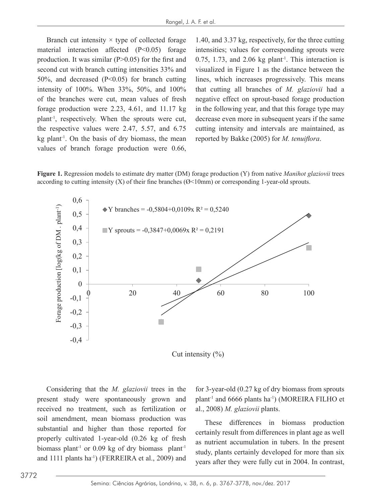Branch cut intensity  $\times$  type of collected forage 1.40, and 3.37 kg, respectively, material interaction affected (P<0.05) forage intensities; values for production. It was similar  $(P>0.05)$  for the first and second cut with branch cutting intensities 33% and  $50\%$ , and decreased (P<0.05) for branch cutting lines, which increases progress intensity of 100%. When 33%, 50%, and 100% that cutting all branches of  $M$ . glaziovii had a of the branches were cut, mean values of fresh forage production were 2.23, 4.61, and 11.17 kg plant-1, respectively. When the sprouts were cut, the respective values were 2.47, 5.57, and 6.75 cutting intens  $kg$  plant<sup>-1</sup>. On the basis of dry biomass, the mean values of branch forage production were 0.66, production. It was similar (P>0.05) for the first and  $0.75$ , 1.73, and 2.06 kg plant<sup>-1</sup>. This interaction is of the branches were cut, mean values of fresh negative effect on sprout-based forage production  $\mu$  and the same that the same that the same cutting  $\mu$  and the same cutting  $\mu$  and that the same cutting intensity and the same cutting in the same cutting in the same cutting in the same cutting in the same cutting Figure **1. Example production** mode  $\sigma$ ,

1.40, and  $3.37$  kg, respectively, for the three cutting intensities; values for corresponding sprouts were visualized in Figure 1 as the distance between the lines, which increases progressively. This means that cutting all branches of *M. glaziovii* had a in the following year, and that this forage type may cutting intensity and intervals are maintained, as reported by Bakke (2005) for *M. tenuiflora*.

Figure 1. Regression models to estimate dry matter (DM) forage production (Y) from native *Manihot glaziovii* trees according to cutting intensity  $(X)$  of their fine branches ( $\mathcal{O}$ <10mm) or corresponding 1-year-old sprouts.



Cut intensity  $(\%)$ 

received no treatment, such as fertilization or al., 2008) *M. glaziovii* plants. properly cultivated 1-year-old (0.26 kg of fresh biomass plant<sup>-1</sup> or 0.09 kg of dry biomass plant<sup>-1</sup> Considering that the *M. glaziovii* trees in the present study were spontaneously grown and soil amendment, mean biomass production was substantial and higher than those reported for and 1111 plants ha-1) (FERREIRA et al., 2009) and

sent study were spontaneously grown and plant<sup>-1</sup> and 6666 plants ha<sup>-1</sup>) (MOREIRA FILHO et for 3-year-old (0.27 kg of dry biomass from sprouts al., 2008) *M. glaziovii* plants.

son anti-numerit, incall biomass production was<br>These differences in biomass production  $(0.26 \text{ kg of fresh}$  as nutrient accumulation in tubers. In the present biomass plant<sup>-1</sup> study, plants certainly developed for more than six certainly result from differences in plant age as well years after they were fully cut in 2004. In contrast,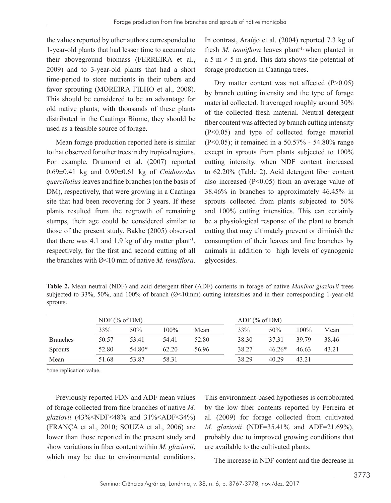the values reported by other authors corresponded to 1-year-old plants that had lesser time to accumulate their aboveground biomass (FERREIRA et al., 2009) and to 3-year-old plants that had a short time-period to store nutrients in their tubers and favor sprouting (MOREIRA FILHO et al., 2008). This should be considered to be an advantage for old native plants; with thousands of these plants distributed in the Caatinga Biome, they should be used as a feasible source of forage.

Mean forage production reported here is similar to that observed for other trees in dry tropical regions. For example, Drumond et al. (2007) reported 0.69±0.41 kg and 0.90±0.61 kg of *Cnidoscolus quercifolius* leaves and fine branches (on the basis of DM), respectively, that were growing in a Caatinga site that had been recovering for 3 years. If these plants resulted from the regrowth of remaining stumps, their age could be considered similar to those of the present study. Bakke (2005) observed that there was 4.1 and 1.9 kg of dry matter plant<sup>-1</sup>, respectively, for the first and second cutting of all the branches with Ø<10 mm of native *M. tenuiflora*.

In contrast, Araújo et al. (2004) reported 7.3 kg of fresh *M. tenuiflora* leaves plant<sup>-1,</sup> when planted in a 5 m  $\times$  5 m grid. This data shows the potential of forage production in Caatinga trees.

Dry matter content was not affected (P>0.05) by branch cutting intensity and the type of forage material collected. It averaged roughly around 30% of the collected fresh material. Neutral detergent fiber content was affected by branch cutting intensity (P<0.05) and type of collected forage material (P<0.05); it remained in a 50.57% - 54.80% range except in sprouts from plants subjected to 100% cutting intensity, when NDF content increased to 62.20% (Table 2). Acid detergent fiber content also increased (P<0.05) from an average value of 38.46% in branches to approximately 46.45% in sprouts collected from plants subjected to 50% and 100% cutting intensities. This can certainly be a physiological response of the plant to branch cutting that may ultimately prevent or diminish the consumption of their leaves and fine branches by animals in addition to high levels of cyanogenic glycosides.

**Table 2.** Mean neutral (NDF) and acid detergent fiber (ADF) contents in forage of native *Manihot glaziovii* trees subjected to 33%, 50%, and 100% of branch (Ø<10mm) cutting intensities and in their corresponding 1-year-old sprouts.

|                 | NDF $(\%$ of DM) |        |         | ADF $(\%$ of DM) |       |          |         |       |  |
|-----------------|------------------|--------|---------|------------------|-------|----------|---------|-------|--|
|                 | 33%              | 50%    | $100\%$ | Mean             | 33%   | 50%      | $100\%$ | Mean  |  |
| <b>Branches</b> | 50.57            | 53.41  | 54.41   | 52.80            | 38.30 | 37 31    | 39 79   | 38.46 |  |
| Sprouts         | 52.80            | 54.80* | 62.20   | 56.96            | 38.27 | $46.26*$ | 46.63   | 43.21 |  |
| Mean            | 51.68            | 53.87  | 58.31   |                  | 38.29 | 40.29    | 43.21   |       |  |

\*one replication value.

Previously reported FDN and ADF mean values of forage collected from fine branches of native *M. glaziovii* (43%<NDF<48% and 31%<ADF<34%) (FRANÇA et al., 2010; SOUZA et al., 2006) are lower than those reported in the present study and show variations in fiber content within *M. glaziovii*, which may be due to environmental conditions.

This environment-based hypotheses is corroborated by the low fiber contents reported by Ferreira et al. (2009) for forage collected from cultivated *M. glaziovii* (NDF=35.41% and ADF=21.69%), probably due to improved growing conditions that are available to the cultivated plants.

The increase in NDF content and the decrease in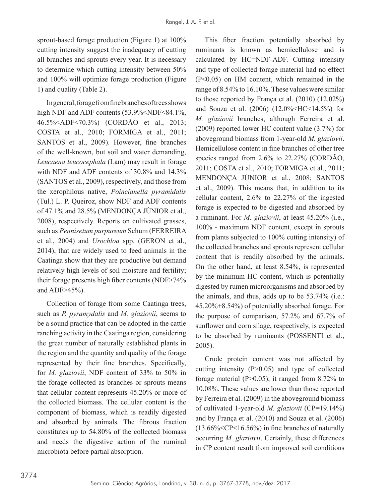sprout-based forage production (Figure 1) at 100% cutting intensity suggest the inadequacy of cutting all branches and sprouts every year. It is necessary to determine which cutting intensity between 50% and 100% will optimize forage production (Figure 1) and quality (Table 2).

In general, forage from fine branches of trees shows high NDF and ADF contents (53.9%<NDF<84.1%, 46.5%<ADF<70.3%) (CORDÃO et al., 2013; COSTA et al., 2010; FORMIGA et al., 2011; SANTOS et al., 2009). However, fine branches of the well-known, but soil and water demanding, *Leucaena leucocephala* (Lam) may result in forage with NDF and ADF contents of 30.8% and 14.3% (SANTOS et al., 2009), respectively, and those from the xerophilous native, *Poincianella pyramidalis* (Tul.) L. P. Queiroz, show NDF and ADF contents of 47.1% and 28.5% (MENDONÇA JÚNIOR et al., 2008), respectively. Reports on cultivated grasses, such as *Pennisetum purpureum* Schum (FERREIRA et al., 2004) and *Urochloa* spp. (GERON et al., 2014), that are widely used to feed animals in the Caatinga show that they are productive but demand relatively high levels of soil moisture and fertility; their forage presents high fiber contents (NDF>74% and ADF>45%).

Collection of forage from some Caatinga trees, such as *P. pyramydalis* and *M. glaziovii*, seems to be a sound practice that can be adopted in the cattle ranching activity in the Caatinga region, considering the great number of naturally established plants in the region and the quantity and quality of the forage represented by their fine branches. Specifically, for *M. glaziovii*, NDF content of 33% to 50% in the forage collected as branches or sprouts means that cellular content represents 45.20% or more of the collected biomass. The cellular content is the component of biomass, which is readily digested and absorbed by animals. The fibrous fraction constitutes up to 54.80% of the collected biomass and needs the digestive action of the ruminal microbiota before partial absorption.

This fiber fraction potentially absorbed by ruminants is known as hemicellulose and is calculated by HC=NDF-ADF. Cutting intensity and type of collected forage material had no effect (P<0.05) on HM content, which remained in the range of 8.54% to 16.10%. These values were similar to those reported by França et al. (2010) (12.02%) and Souza et al. (2006) (12.0%<HC<14.5%) for *M. glaziovii* branches, although Ferreira et al. (2009) reported lower HC content value (3.7%) for aboveground biomass from 1-year-old *M. glaziovii*. Hemicellulose content in fine branches of other tree species ranged from 2.6% to 22.27% (CORDÃO, 2011; COSTA et al., 2010; FORMIGA et al., 2011; MENDONÇA JÚNIOR et al., 2008; SANTOS et al., 2009). This means that, in addition to its cellular content, 2.6% to 22.27% of the ingested forage is expected to be digested and absorbed by a ruminant. For *M. glaziovii*, at least 45.20% (i.e., 100% - maximum NDF content, except in sprouts from plants subjected to 100% cutting intensity) of the collected branches and sprouts represent cellular content that is readily absorbed by the animals. On the other hand, at least 8.54%, is represented by the minimum HC content, which is potentially digested by rumen microorganisms and absorbed by the animals, and thus, adds up to be 53.74% (i.e.: 45.20%+8.54%) of potentially absorbed forage. For the purpose of comparison, 57.2% and 67.7% of sunflower and corn silage, respectively, is expected to be absorbed by ruminants (POSSENTI et al., 2005).

Crude protein content was not affected by cutting intensity (P>0.05) and type of collected forage material  $(P>0.05)$ ; it ranged from 8.72% to 10.08%. These values are lower than those reported by Ferreira et al. (2009) in the aboveground biomass of cultivated 1-year-old *M. glaziovii* (CP=19.14%) and by França et al. (2010) and Souza et al. (2006)  $(13.66\% in fine branches of naturally$ occurring *M. glaziovii*. Certainly, these differences in CP content result from improved soil conditions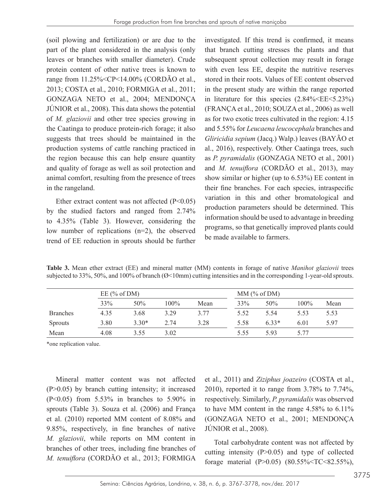(soil plowing and fertilization) or are due to the part of the plant considered in the analysis (only leaves or branches with smaller diameter). Crude protein content of other native trees is known to range from 11.25%<CP<14.00% (CORDÃO et al., 2013; COSTA et al., 2010; FORMIGA et al., 2011; GONZAGA NETO et al., 2004; MENDONÇA JÚNIOR et al., 2008). This data shows the potential of *M. glaziovii* and other tree species growing in the Caatinga to produce protein-rich forage; it also suggests that trees should be maintained in the production systems of cattle ranching practiced in the region because this can help ensure quantity and quality of forage as well as soil protection and animal comfort, resulting from the presence of trees in the rangeland.

Ether extract content was not affected (P<0.05) by the studied factors and ranged from 2.74% to 4.35% (Table 3). However, considering the low number of replications (n=2), the observed trend of EE reduction in sprouts should be further investigated. If this trend is confirmed, it means that branch cutting stresses the plants and that subsequent sprout collection may result in forage with even less EE, despite the nutritive reserves stored in their roots. Values of EE content observed in the present study are within the range reported in literature for this species  $(2.84\%<\angle EE\leq5.23\%)$ (FRANÇA et al., 2010; SOUZA et al., 2006) as well as for two exotic trees cultivated in the region: 4.15 and 5.55% for *Leucaena leucocephala* branches and *Gliricidia sepium* (Jacq.) Walp.) leaves (BAYÃO et al., 2016), respectively. Other Caatinga trees, such as *P. pyramidalis* (GONZAGA NETO et al., 2001) and *M. tenuiflora* (CORDÃO et al., 2013), may show similar or higher (up to 6.53%) EE content in their fine branches. For each species, intraspecific variation in this and other bromatological and production parameters should be determined. This information should be used to advantage in breeding programs, so that genetically improved plants could be made available to farmers.

**Table 3.** Mean ether extract (EE) and mineral matter (MM) contents in forage of native *Manihot glaziovii* trees subjected to 33%, 50%, and 100% of branch (Ø<10mm) cutting intensities and in the corresponding 1-year-old sprouts.

|                 | EE $(\%$ of DM) |         | $MM$ (% of DM) |      |      |         |         |      |
|-----------------|-----------------|---------|----------------|------|------|---------|---------|------|
|                 | 33%             | 50%     | 100%           | Mean | 33%  | 50%     | $100\%$ | Mean |
| <b>Branches</b> | 4.35            | 3.68    | 3.29           | 3.77 | 5.52 | 5.54    | 5.53    | 5.53 |
| <b>Sprouts</b>  | 3.80            | $3.30*$ | 2.74           | 3.28 | 5.58 | $6.33*$ | 6.01    | 5.97 |
| Mean            | 4.08            | 3.55    | 3.02           |      | 5.55 | 593     | 5.77    |      |

\*one replication value.

Mineral matter content was not affected (P>0.05) by branch cutting intensity; it increased (P<0.05) from 5.53% in branches to 5.90% in sprouts (Table 3). Souza et al. (2006) and França et al. (2010) reported MM content of 8.08% and 9.85%, respectively, in fine branches of native *M. glaziovii*, while reports on MM content in branches of other trees, including fine branches of *M. tenuiflora* (CORDÃO et al., 2013; FORMIGA

et al., 2011) and *Ziziphus joazeiro* (COSTA et al., 2010), reported it to range from 3.78% to 7.74%, respectively. Similarly, *P. pyramidalis* was observed to have MM content in the range 4.58% to 6.11% (GONZAGA NETO et al., 2001; MENDONÇA JÚNIOR et al., 2008).

Total carbohydrate content was not affected by cutting intensity  $(P>0.05)$  and type of collected forage material (P>0.05) (80.55%<TC<82.55%),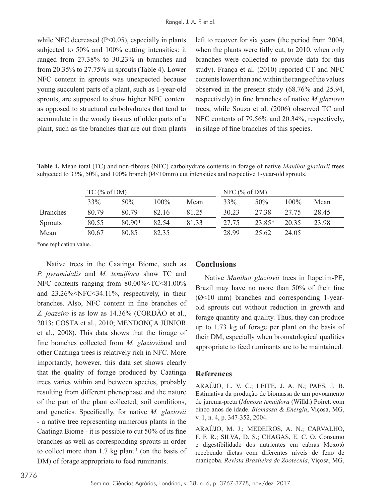while NFC decreased  $(P<0.05)$ , especially in plants subjected to 50% and 100% cutting intensities: it ranged from 27.38% to 30.23% in branches and from 20.35% to 27.75% in sprouts (Table 4). Lower NFC content in sprouts was unexpected because young succulent parts of a plant, such as 1-year-old sprouts, are supposed to show higher NFC content as opposed to structural carbohydrates that tend to accumulate in the woody tissues of older parts of a plant, such as the branches that are cut from plants left to recover for six years (the period from 2004, when the plants were fully cut, to 2010, when only branches were collected to provide data for this study). França et al. (2010) reported CT and NFC contents lower than and within the range of the values observed in the present study (68.76% and 25.94, respectively) in fine branches of native *M glaziovii* trees, while Souza et al. (2006) observed TC and NFC contents of 79.56% and 20.34%, respectively, in silage of fine branches of this species.

**Table 4.** Mean total (TC) and non-fibrous (NFC) carbohydrate contents in forage of native *Manihot glaziovii* trees subjected to 33%, 50%, and 100% branch ( $\varnothing$ <10mm) cut intensities and respective 1-year-old sprouts.

|                 | $TC$ (% of DM) |          |       |       | NFC $% of DM$ |        |         |       |  |  |
|-----------------|----------------|----------|-------|-------|---------------|--------|---------|-------|--|--|
|                 | 33%            | 50%      | 100%  | Mean  | 33%           | 50%    | $100\%$ | Mean  |  |  |
| <b>Branches</b> | 80.79          | 80.79    | 82.16 | 81.25 | 30.23         | 27.38  | 27.75   | 28.45 |  |  |
| <b>Sprouts</b>  | 80.55          | $80.90*$ | 82.54 | 81.33 | 27.75         | 23.85* | 20 35   | 23.98 |  |  |
| Mean            | 80.67          | 80.85    | 82.35 |       | 28.99         | 25.62  | 24.05   |       |  |  |

\*one replication value.

Native trees in the Caatinga Biome, such as *P. pyramidalis* and *M. tenuiflora* show TC and NFC contents ranging from  $80.00\%$  (TC <81.00%) and 23.26%<NFC<34.11%, respectively, in their branches. Also, NFC content in fine branches of *Z. joazeiro* is as low as 14.36% (CORDÃO et al., 2013; COSTA et al., 2010; MENDONÇA JÚNIOR et al., 2008). This data shows that the forage of fine branches collected from *M. glaziovii*and and other Caatinga trees is relatively rich in NFC. More importantly, however, this data set shows clearly that the quality of forage produced by Caatinga trees varies within and between species, probably resulting from different phenophase and the nature of the part of the plant collected, soil conditions, and genetics. Specifically, for native *M. glaziovii* - a native tree representing numerous plants in the Caatinga Biome - it is possible to cut 50% of its fine branches as well as corresponding sprouts in order to collect more than  $1.7 \text{ kg plant}$ <sup>1</sup> (on the basis of DM) of forage appropriate to feed ruminants.

#### **Conclusions**

Native *Manihot glaziovii* trees in Itapetim-PE, Brazil may have no more than 50% of their fine (Ø<10 mm) branches and corresponding 1-yearold sprouts cut without reduction in growth and forage quantity and quality. Thus, they can produce up to 1.73 kg of forage per plant on the basis of their DM, especially when bromatological qualities appropriate to feed ruminants are to be maintained.

#### **References**

ARAÚJO, L. V. C.; LEITE, J. A. N.; PAES, J. B. Estimativa da produção de biomassa de um povoamento de jurema-preta (*Mimosa tenuiflora* (Willd.) Poiret. com cinco anos de idade. *Biomassa & Energia*, Viçosa, MG, v. 1, n. 4, p. 347-352, 2004.

ARAÚJO, M. J.; MEDEIROS, A. N.; CARVALHO, F. F. R.; SILVA, D. S.; CHAGAS, E. C. O. Consumo e digestibilidade dos nutrientes em cabras Moxotó recebendo dietas com diferentes níveis de feno de maniçoba. *Revista Brasileira de Zootecnia*, Viçosa, MG,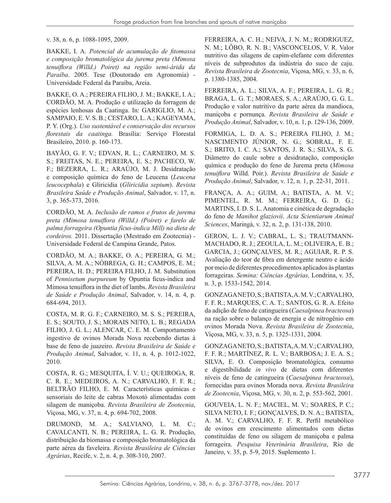v. 38, n. 6, p. 1088-1095, 2009.

BAKKE, I. A. *Potencial de acumulação de fitomassa e composição bromatológica da jurema preta (Mimosa tenuiflora (Willd.) Poiret) na região semi-árida da Paraíba*. 2005. Tese (Doutorado em Agronomia) - Universidade Federal da Paraíba, Areia.

BAKKE, O. A.; PEREIRA FILHO, J. M.; BAKKE, I. A.; CORDÃO, M. A. Produção e utilização da forragem de espécies lenhosas da Caatinga. In: GARIGLIO, M. A.; SAMPAIO, E. V. S. B.; CESTARO, L. A.; KAGEYAMA, P. Y. (Org.). *Uso sustentável e conservação dos recursos florestais da caatinga.* Brasília: Serviço Florestal Brasileiro, 2010. p. 160-173.

BAYÃO, G. F. V.; EDVAN, R. L.; CARNEIRO, M. S. S.; FREITAS, N. E.; PEREIRA, E. S.; PACHECO, W. F.; BEZERRA, L. R.; ARAÚJO, M. J. Desidratação e composição química do feno de Leucena (*Leucena leucocephala*) e Gliricidia (*Gliricidia sepium*). *Revista Brasileira Saúde e Produção Animal*, Salvador, v. 17, n. 3, p. 365-373, 2016.

CORDÃO, M. A. *Inclusão de ramos e frutos de jurema preta (Mimosa tenuiflora (Willd.) (Poiret) e farelo de palma forrageira (Opuntia fícus-indica Mill) na dieta de cordeiros.* 2011. Dissertação (Mestrado em Zootecnia) - Universidade Federal de Campina Grande, Patos.

CORDÃO, M. A.; BAKKE, O. A.; PEREIRA, G. M.; SILVA, A. M. A.; NÓBREGA, G. H.; CAMPOS, E. M.; PEREIRA, H. D.; PEREIRA FILHO, J. M. Substitution of *Pennisetum purpureum* by Opuntia ficus-indica and Mimosa tenuiflora in the diet of lambs. *Revista Brasileira de Saúde e Produção Animal*, Salvador, v. 14, n. 4, p. 684-694, 2013.

COSTA, M. R. G. F.; CARNEIRO, M. S. S.; PEREIRA, E. S.; SOUTO, J. S.; MORAIS NETO, L. B.; REGADA FILHO, J. G. L.; ALENCAR, C. E. M. Comportamento ingestivo de ovinos Morada Nova recebendo dietas à base de feno de juazeiro. *Revista Brasileira de Saúde e Produção Animal*, Salvador, v. 11, n. 4, p. 1012-1022, 2010.

COSTA, R. G.; MESQUITA, Í. V. U.; QUEIROGA, R. C. R. E.; MEDEIROS, A. N.; CARVALHO, F. F. R.; BELTRÃO FILHO, E. M. Características químicas e sensoriais do leite de cabras Moxotó alimentadas com silagem de maniçoba. *Revista Brasileira de Zootecnia*, Viçosa, MG, v. 37, n. 4, p. 694-702, 2008.

DRUMOND, M. A.; SALVIANO, L. M. C.; CAVALCANTI, N. B.; PEREIRA, L. G. R. Produção, distribuição da biomassa e composição bromatológica da parte aérea da faveleira. *Revista Brasileira de Ciências Agrárias*, Recife, v. 2, n. 4, p. 308-310, 2007.

FERREIRA, A. C. H.; NEIVA, J. N. M.; RODRIGUEZ, N. M.; LÔBO, R. N. B.; VASCONCELOS, V. R. Valor nutritivo das silagens de capim-elefante com diferentes níveis de subprodutos da indústria do suco de caju. *Revista Brasileira de Zootecnia*, Viçosa, MG, v. 33, n. 6, p. 1380-1385, 2004.

FERREIRA, A. L.; SILVA, A. F.; PEREIRA, L. G. R.; BRAGA, L. G. T.; MORAES, S. A.; ARAÚJO, G. G. L. Produção e valor nutritivo da parte aérea da mandioca, maniçoba e pornunça. *Revista Brasileira de Saúde e Produção Animal*, Salvador, v. 10, n. 1, p. 129-136, 2009.

FORMIGA, L. D. A. S.; PEREIRA FILHO, J. M.; NASCIMENTO JÚNIOR, N. G.; SOBRAL, F. E. S.; BRITO, I. C. A.; SANTOS, J. R. S.; SILVA, S. G. Diâmetro do caule sobre a desidratação, composição química e produção do feno de Jurema preta (*Mimosa tenuiflora* Willd. Poir.). *Revista Brasileira de Saúde e Produção Animal*, Salvador, v. 12, n. 1, p. 22-31, 2011.

FRANÇA, A. A.; GUIM, A.; BATISTA, A. M. V.; PIMENTEL, R. M. M.; FERREIRA, G. D. G.; MARTINS, I. D. S. L. Anatomia e cinética de degradação do feno de *Manihot glaziovii*. *Acta Scientiarum Animal Sciences*, Maringá, v. 32, n. 2, p. 131-138, 2010.

GERON, L. J. V.; CABRAL, L. S.; TRAUTMANN-MACHADO, R. J.; ZEOULA, L. M.; OLIVEIRA, E. B.; GARCIA, J.; GONÇALVES, M. R.; AGUIAR, R. P. S. Avaliação do teor de fibra em detergente neutro e ácido por meio de diferentes procedimentos aplicados às plantas forrageiras. *Semina: Ciências Agrárias,* Londrina, v. 35, n. 3, p. 1533-1542, 2014.

GONZAGA NETO, S.; BATISTA, A. M. V.; CARVALHO, F. F. R.; MARQUES, C. A. T.; SANTOS, G. R. A. Efeito da adição de feno de catingueira (*Caesalpinea bracteosa*) na ração sobre o balanço de energia e de nitrogênio em ovinos Morada Nova. *Revista Brasileira de Zootecnia*, Viçosa, MG, v. 33, n. 5, p. 1325-1331, 2004.

GONZAGA NETO, S.; BATISTA, A. M. V.; CARVALHO, F. F. R.; MARTÍNEZ, R. L. V.; BARBOSA; J. E. A. S.; SILVA, E. O. Composição bromatológica, consumo e digestibilidade *in vivo* de dietas com diferentes níveis de feno de catingueira (*Caesalpinea bracteosa*), fornecidas para ovinos Morada nova. *Revista Brasileira de Zootecnia*, Viçosa, MG, v. 30, n. 2, p. 553-562, 2001.

GOUVEIA, L. N. F.; MACIEL, M. V.; SOARES, P. C.; SILVA NETO, I. F.; GONÇALVES, D. N. A.; BATISTA, A. M. V.; CARVALHO, F. F. R. Perfil metabólico de ovinos em crescimento alimentados com dietas constituídas de feno ou silagem de maniçoba e palma forrageira. *Pesquisa Veterinária Brasileira*, Rio de Janeiro, v. 35, p. 5-9, 2015. Suplemento 1.